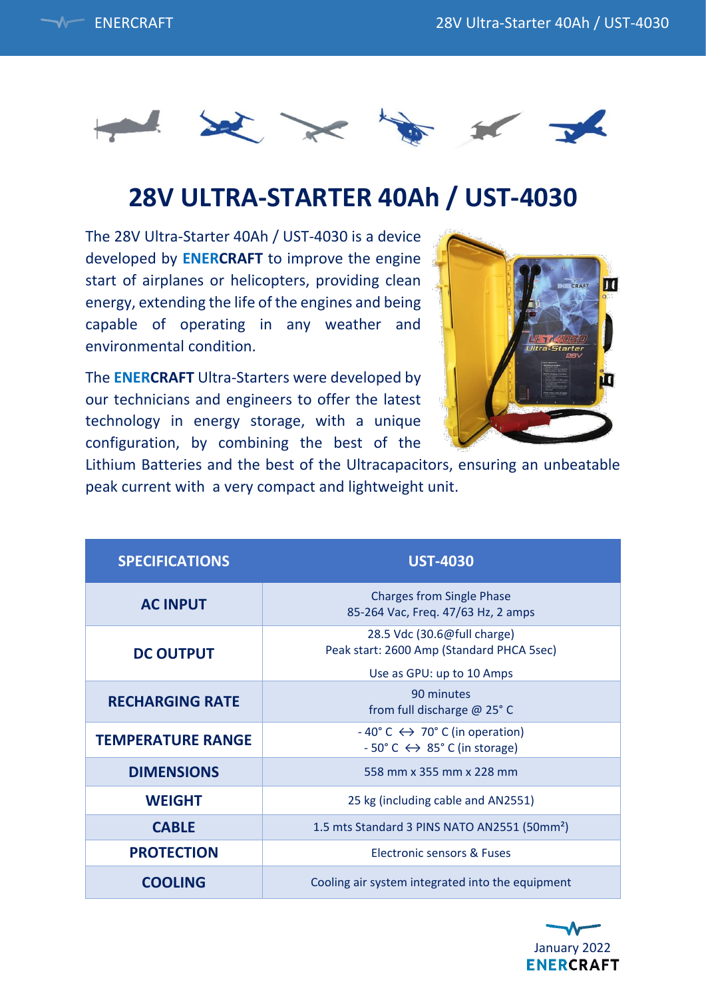



## **28V ULTRA-STARTER 40Ah / UST-4030**

The 28V Ultra-Starter 40Ah / UST-4030 is a device developed by **ENERCRAFT** to improve the engine start of airplanes or helicopters, providing clean energy, extending the life of the engines and being capable of operating in any weather and environmental condition.

The **ENERCRAFT** Ultra-Starters were developed by our technicians and engineers to offer the latest technology in energy storage, with a unique configuration, by combining the best of the



Lithium Batteries and the best of the Ultracapacitors, ensuring an unbeatable peak current with a very compact and lightweight unit.

| <b>SPECIFICATIONS</b>    | <b>UST-4030</b>                                                                                                                    |
|--------------------------|------------------------------------------------------------------------------------------------------------------------------------|
| <b>AC INPUT</b>          | <b>Charges from Single Phase</b><br>85-264 Vac, Freq. 47/63 Hz, 2 amps                                                             |
| <b>DC OUTPUT</b>         | 28.5 Vdc (30.6@full charge)<br>Peak start: 2600 Amp (Standard PHCA 5sec)                                                           |
|                          | Use as GPU: up to 10 Amps                                                                                                          |
| <b>RECHARGING RATE</b>   | 90 minutes<br>from full discharge @ 25°C                                                                                           |
| <b>TEMPERATURE RANGE</b> | $-40^{\circ}$ C $\leftrightarrow$ 70 $^{\circ}$ C (in operation)<br>$-50^{\circ}$ C $\leftrightarrow$ 85 $^{\circ}$ C (in storage) |
| <b>DIMENSIONS</b>        | 558 mm x 355 mm x 228 mm                                                                                                           |
| <b>WEIGHT</b>            | 25 kg (including cable and AN2551)                                                                                                 |
| <b>CABLE</b>             | 1.5 mts Standard 3 PINS NATO AN2551 (50mm <sup>2</sup> )                                                                           |
| <b>PROTECTION</b>        | Electronic sensors & Fuses                                                                                                         |
| <b>COOLING</b>           | Cooling air system integrated into the equipment                                                                                   |